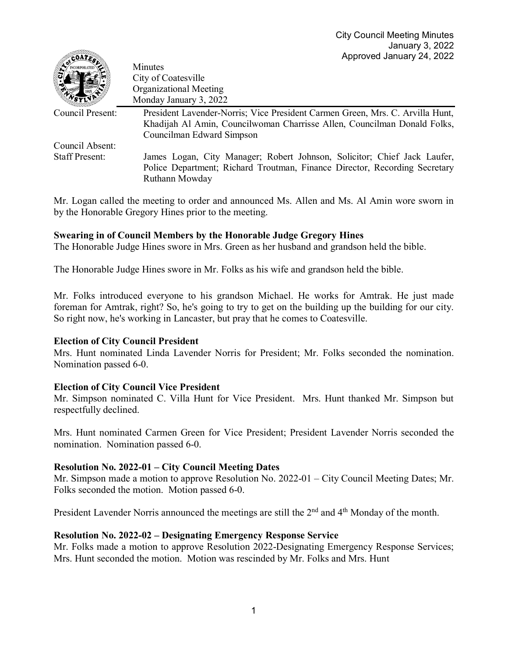| $C = C$               | $\frac{1}{2}$ which can be considered to $\frac{1}{2}$                        |
|-----------------------|-------------------------------------------------------------------------------|
|                       | Minutes                                                                       |
|                       | City of Coatesville                                                           |
|                       | <b>Organizational Meeting</b>                                                 |
|                       | Monday January 3, 2022                                                        |
| Council Present:      | President Lavender-Norris; Vice President Carmen Green, Mrs. C. Arvilla Hunt, |
|                       | Khadijah Al Amin, Councilwoman Charrisse Allen, Councilman Donald Folks,      |
|                       | Councilman Edward Simpson                                                     |
| Council Absent:       |                                                                               |
| <b>Staff Present:</b> | James Logan, City Manager; Robert Johnson, Solicitor; Chief Jack Laufer,      |
|                       | Police Department; Richard Troutman, Finance Director, Recording Secretary    |
|                       | Ruthann Mowday                                                                |

Mr. Logan called the meeting to order and announced Ms. Allen and Ms. Al Amin wore sworn in by the Honorable Gregory Hines prior to the meeting.

## **Swearing in of Council Members by the Honorable Judge Gregory Hines**

The Honorable Judge Hines swore in Mrs. Green as her husband and grandson held the bible.

The Honorable Judge Hines swore in Mr. Folks as his wife and grandson held the bible.

Mr. Folks introduced everyone to his grandson Michael. He works for Amtrak. He just made foreman for Amtrak, right? So, he's going to try to get on the building up the building for our city. So right now, he's working in Lancaster, but pray that he comes to Coatesville.

## **Election of City Council President**

**BRADE** 

Mrs. Hunt nominated Linda Lavender Norris for President; Mr. Folks seconded the nomination. Nomination passed 6-0.

## **Election of City Council Vice President**

Mr. Simpson nominated C. Villa Hunt for Vice President. Mrs. Hunt thanked Mr. Simpson but respectfully declined.

Mrs. Hunt nominated Carmen Green for Vice President; President Lavender Norris seconded the nomination. Nomination passed 6-0.

## **Resolution No. 2022-01 – City Council Meeting Dates**

Mr. Simpson made a motion to approve Resolution No. 2022-01 – City Council Meeting Dates; Mr. Folks seconded the motion. Motion passed 6-0.

President Lavender Norris announced the meetings are still the 2<sup>nd</sup> and 4<sup>th</sup> Monday of the month.

## **Resolution No. 2022-02 – Designating Emergency Response Service**

Mr. Folks made a motion to approve Resolution 2022-Designating Emergency Response Services; Mrs. Hunt seconded the motion. Motion was rescinded by Mr. Folks and Mrs. Hunt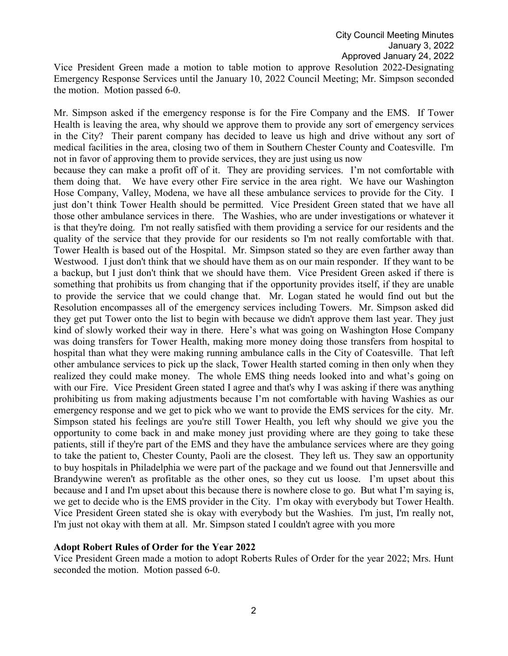Vice President Green made a motion to table motion to approve Resolution 2022-Designating Emergency Response Services until the January 10, 2022 Council Meeting; Mr. Simpson seconded the motion. Motion passed 6-0.

Mr. Simpson asked if the emergency response is for the Fire Company and the EMS. If Tower Health is leaving the area, why should we approve them to provide any sort of emergency services in the City? Their parent company has decided to leave us high and drive without any sort of medical facilities in the area, closing two of them in Southern Chester County and Coatesville. I'm not in favor of approving them to provide services, they are just using us now

because they can make a profit off of it. They are providing services. I'm not comfortable with them doing that. We have every other Fire service in the area right. We have our Washington Hose Company, Valley, Modena, we have all these ambulance services to provide for the City. I just don't think Tower Health should be permitted. Vice President Green stated that we have all those other ambulance services in there. The Washies, who are under investigations or whatever it is that they're doing. I'm not really satisfied with them providing a service for our residents and the quality of the service that they provide for our residents so I'm not really comfortable with that. Tower Health is based out of the Hospital. Mr. Simpson stated so they are even farther away than Westwood. I just don't think that we should have them as on our main responder. If they want to be a backup, but I just don't think that we should have them. Vice President Green asked if there is something that prohibits us from changing that if the opportunity provides itself, if they are unable to provide the service that we could change that. Mr. Logan stated he would find out but the Resolution encompasses all of the emergency services including Towers. Mr. Simpson asked did they get put Tower onto the list to begin with because we didn't approve them last year. They just kind of slowly worked their way in there. Here's what was going on Washington Hose Company was doing transfers for Tower Health, making more money doing those transfers from hospital to hospital than what they were making running ambulance calls in the City of Coatesville. That left other ambulance services to pick up the slack, Tower Health started coming in then only when they realized they could make money. The whole EMS thing needs looked into and what's going on with our Fire. Vice President Green stated I agree and that's why I was asking if there was anything prohibiting us from making adjustments because I'm not comfortable with having Washies as our emergency response and we get to pick who we want to provide the EMS services for the city. Mr. Simpson stated his feelings are you're still Tower Health, you left why should we give you the opportunity to come back in and make money just providing where are they going to take these patients, still if they're part of the EMS and they have the ambulance services where are they going to take the patient to, Chester County, Paoli are the closest. They left us. They saw an opportunity to buy hospitals in Philadelphia we were part of the package and we found out that Jennersville and Brandywine weren't as profitable as the other ones, so they cut us loose. I'm upset about this because and I and I'm upset about this because there is nowhere close to go. But what I'm saying is, we get to decide who is the EMS provider in the City. I'm okay with everybody but Tower Health. Vice President Green stated she is okay with everybody but the Washies. I'm just, I'm really not, I'm just not okay with them at all. Mr. Simpson stated I couldn't agree with you more

#### **Adopt Robert Rules of Order for the Year 2022**

Vice President Green made a motion to adopt Roberts Rules of Order for the year 2022; Mrs. Hunt seconded the motion. Motion passed 6-0.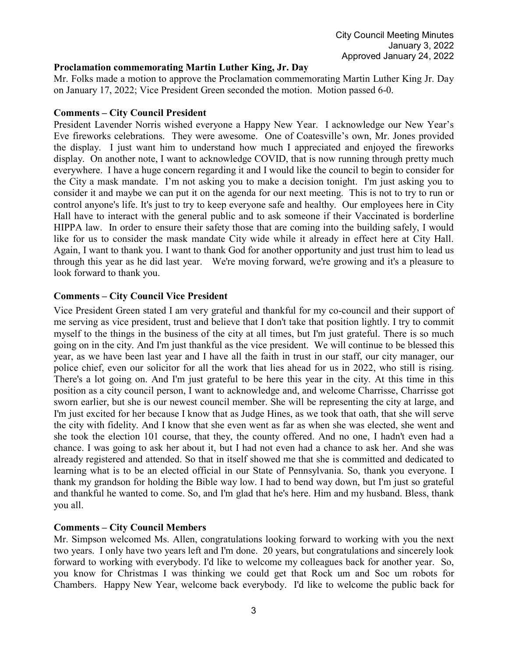## **Proclamation commemorating Martin Luther King, Jr. Day**

Mr. Folks made a motion to approve the Proclamation commemorating Martin Luther King Jr. Day on January 17, 2022; Vice President Green seconded the motion. Motion passed 6-0.

# **Comments – City Council President**

President Lavender Norris wished everyone a Happy New Year. I acknowledge our New Year's Eve fireworks celebrations. They were awesome. One of Coatesville's own, Mr. Jones provided the display. I just want him to understand how much I appreciated and enjoyed the fireworks display. On another note, I want to acknowledge COVID, that is now running through pretty much everywhere. I have a huge concern regarding it and I would like the council to begin to consider for the City a mask mandate. I'm not asking you to make a decision tonight. I'm just asking you to consider it and maybe we can put it on the agenda for our next meeting. This is not to try to run or control anyone's life. It's just to try to keep everyone safe and healthy. Our employees here in City Hall have to interact with the general public and to ask someone if their Vaccinated is borderline HIPPA law. In order to ensure their safety those that are coming into the building safely, I would like for us to consider the mask mandate City wide while it already in effect here at City Hall. Again, I want to thank you. I want to thank God for another opportunity and just trust him to lead us through this year as he did last year. We're moving forward, we're growing and it's a pleasure to look forward to thank you.

# **Comments – City Council Vice President**

Vice President Green stated I am very grateful and thankful for my co-council and their support of me serving as vice president, trust and believe that I don't take that position lightly. I try to commit myself to the things in the business of the city at all times, but I'm just grateful. There is so much going on in the city. And I'm just thankful as the vice president. We will continue to be blessed this year, as we have been last year and I have all the faith in trust in our staff, our city manager, our police chief, even our solicitor for all the work that lies ahead for us in 2022, who still is rising. There's a lot going on. And I'm just grateful to be here this year in the city. At this time in this position as a city council person, I want to acknowledge and, and welcome Charrisse, Charrisse got sworn earlier, but she is our newest council member. She will be representing the city at large, and I'm just excited for her because I know that as Judge Hines, as we took that oath, that she will serve the city with fidelity. And I know that she even went as far as when she was elected, she went and she took the election 101 course, that they, the county offered. And no one, I hadn't even had a chance. I was going to ask her about it, but I had not even had a chance to ask her. And she was already registered and attended. So that in itself showed me that she is committed and dedicated to learning what is to be an elected official in our State of Pennsylvania. So, thank you everyone. I thank my grandson for holding the Bible way low. I had to bend way down, but I'm just so grateful and thankful he wanted to come. So, and I'm glad that he's here. Him and my husband. Bless, thank you all.

## **Comments – City Council Members**

Mr. Simpson welcomed Ms. Allen, congratulations looking forward to working with you the next two years. I only have two years left and I'm done. 20 years, but congratulations and sincerely look forward to working with everybody. I'd like to welcome my colleagues back for another year. So, you know for Christmas I was thinking we could get that Rock um and Soc um robots for Chambers. Happy New Year, welcome back everybody. I'd like to welcome the public back for